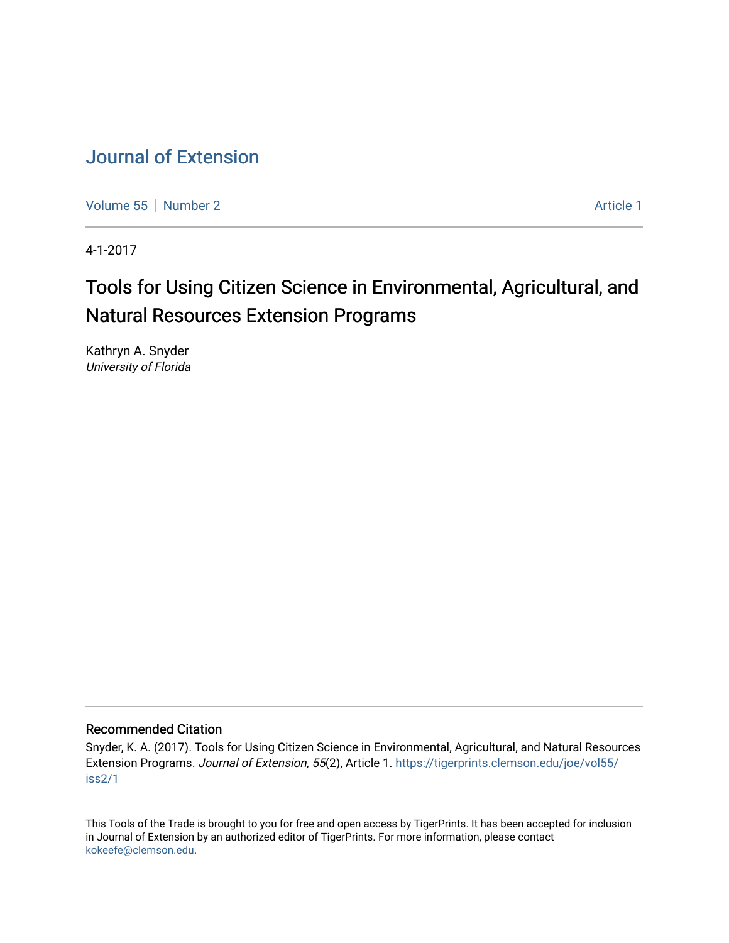# [Journal of Extension](https://tigerprints.clemson.edu/joe)

[Volume 55](https://tigerprints.clemson.edu/joe/vol55) [Number 2](https://tigerprints.clemson.edu/joe/vol55/iss2) Article 1

4-1-2017

# Tools for Using Citizen Science in Environmental, Agricultural, and Natural Resources Extension Programs

Kathryn A. Snyder University of Florida

#### Recommended Citation

Snyder, K. A. (2017). Tools for Using Citizen Science in Environmental, Agricultural, and Natural Resources Extension Programs. Journal of Extension, 55(2), Article 1. [https://tigerprints.clemson.edu/joe/vol55/](https://tigerprints.clemson.edu/joe/vol55/iss2/1) [iss2/1](https://tigerprints.clemson.edu/joe/vol55/iss2/1)

This Tools of the Trade is brought to you for free and open access by TigerPrints. It has been accepted for inclusion in Journal of Extension by an authorized editor of TigerPrints. For more information, please contact [kokeefe@clemson.edu](mailto:kokeefe@clemson.edu).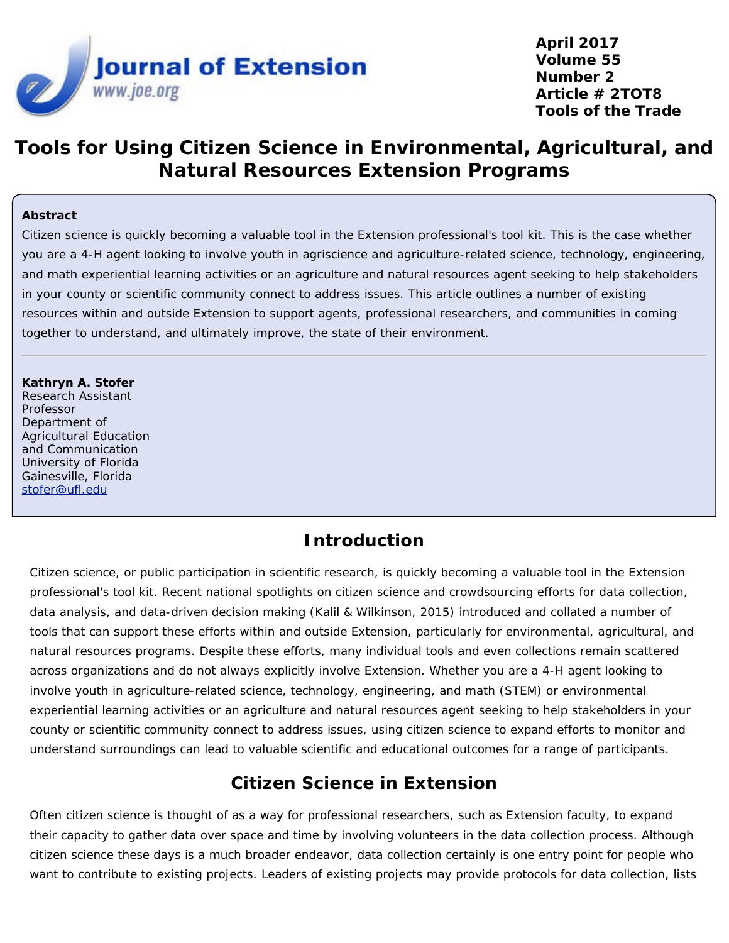

**April 2017 Volume 55 Number 2 Article # 2TOT8 Tools of the Trade**

# **Tools for Using Citizen Science in Environmental, Agricultural, and Natural Resources Extension Programs**

#### **Abstract**

Citizen science is quickly becoming a valuable tool in the Extension professional's tool kit. This is the case whether you are a 4-H agent looking to involve youth in agriscience and agriculture-related science, technology, engineering, and math experiential learning activities or an agriculture and natural resources agent seeking to help stakeholders in your county or scientific community connect to address issues. This article outlines a number of existing resources within and outside Extension to support agents, professional researchers, and communities in coming together to understand, and ultimately improve, the state of their environment.

**Kathryn A. Stofer** Research Assistant Professor Department of Agricultural Education and Communication University of Florida Gainesville, Florida [stofer@ufl.edu](mailto:stofer@ufl.edu)

#### **Introduction**

Citizen science, or public participation in scientific research, is quickly becoming a valuable tool in the Extension professional's tool kit. Recent national spotlights on citizen science and crowdsourcing efforts for data collection, data analysis, and data-driven decision making (Kalil & Wilkinson, 2015) introduced and collated a number of tools that can support these efforts within and outside Extension, particularly for environmental, agricultural, and natural resources programs. Despite these efforts, many individual tools and even collections remain scattered across organizations and do not always explicitly involve Extension. Whether you are a 4-H agent looking to involve youth in agriculture-related science, technology, engineering, and math (STEM) or environmental experiential learning activities or an agriculture and natural resources agent seeking to help stakeholders in your county or scientific community connect to address issues, using citizen science to expand efforts to monitor and understand surroundings can lead to valuable scientific and educational outcomes for a range of participants.

### **Citizen Science in Extension**

Often citizen science is thought of as a way for professional researchers, such as Extension faculty, to expand their capacity to gather data over space and time by involving volunteers in the data collection process. Although citizen science these days is a much broader endeavor, data collection certainly is one entry point for people who want to contribute to existing projects. Leaders of existing projects may provide protocols for data collection, lists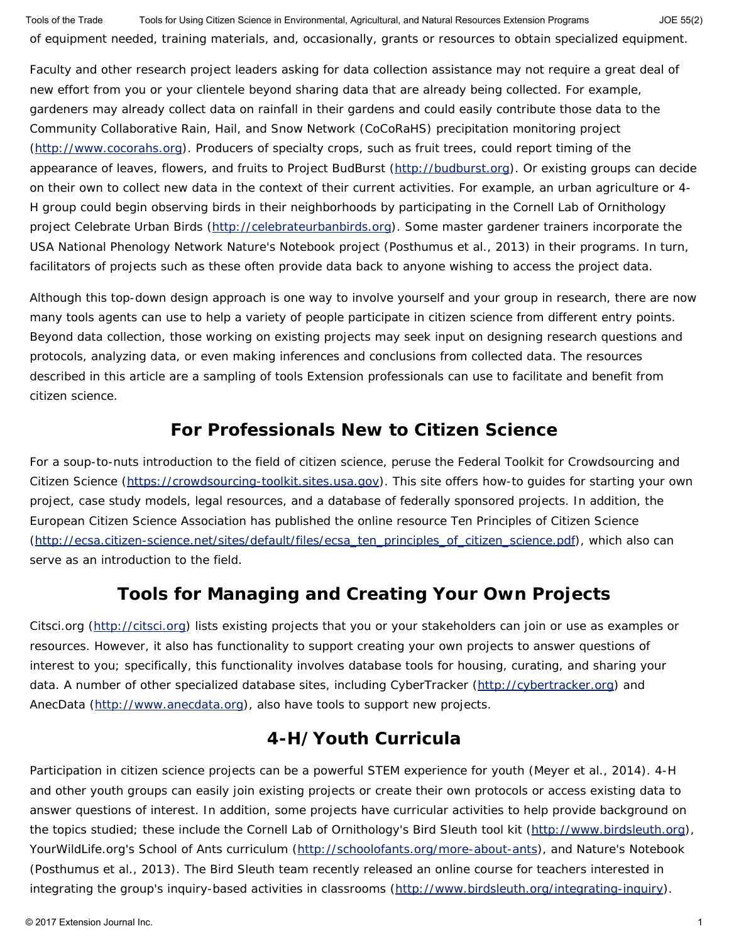of equipment needed, training materials, and, occasionally, grants or resources to obtain specialized equipment. Tools of the Trade Tools for Using Citizen Science in Environmental, Agricultural, and Natural Resources Extension Programs JOE 55(2)

Faculty and other research project leaders asking for data collection assistance may not require a great deal of new effort from you or your clientele beyond sharing data that are already being collected. For example, gardeners may already collect data on rainfall in their gardens and could easily contribute those data to the Community Collaborative Rain, Hail, and Snow Network (CoCoRaHS) precipitation monitoring project [\(http://www.cocorahs.org](http://www.cocorahs.org/)). Producers of specialty crops, such as fruit trees, could report timing of the appearance of leaves, flowers, and fruits to Project BudBurst [\(http://budburst.org](http://budburst.org/)). Or existing groups can decide on their own to collect new data in the context of their current activities. For example, an urban agriculture or 4- H group could begin observing birds in their neighborhoods by participating in the Cornell Lab of Ornithology project Celebrate Urban Birds [\(http://celebrateurbanbirds.org](http://celebrateurbanbirds.org/)). Some master gardener trainers incorporate the USA National Phenology Network Nature's Notebook project (Posthumus et al., 2013) in their programs. In turn, facilitators of projects such as these often provide data back to anyone wishing to access the project data.

Although this top-down design approach is one way to involve yourself and your group in research, there are now many tools agents can use to help a variety of people participate in citizen science from different entry points. Beyond data collection, those working on existing projects may seek input on designing research questions and protocols, analyzing data, or even making inferences and conclusions from collected data. The resources described in this article are a sampling of tools Extension professionals can use to facilitate and benefit from citizen science.

#### **For Professionals New to Citizen Science**

For a soup-to-nuts introduction to the field of citizen science, peruse the Federal Toolkit for Crowdsourcing and Citizen Science [\(https://crowdsourcing-toolkit.sites.usa.gov](https://crowdsourcing-toolkit.sites.usa.gov/)). This site offers how-to guides for starting your own project, case study models, legal resources, and a database of federally sponsored projects. In addition, the European Citizen Science Association has published the online resource Ten Principles of Citizen Science [\(http://ecsa.citizen-science.net/sites/default/files/ecsa\\_ten\\_principles\\_of\\_citizen\\_science.pdf](http://ecsa.citizen-science.net/sites/default/files/ecsa_ten_principles_of_citizen_science.pdf)), which also can serve as an introduction to the field.

### **Tools for Managing and Creating Your Own Projects**

Citsci.org [\(http://citsci.org](http://citsci.org/)) lists existing projects that you or your stakeholders can join or use as examples or resources. However, it also has functionality to support creating your own projects to answer questions of interest to you; specifically, this functionality involves database tools for housing, curating, and sharing your data. A number of other specialized database sites, including CyberTracker [\(http://cybertracker.org](http://cybertracker.org/)) and AnecData [\(http://www.anecdata.org](http://www.anecdata.org/)), also have tools to support new projects.

## **4-H/Youth Curricula**

Participation in citizen science projects can be a powerful STEM experience for youth (Meyer et al., 2014). 4-H and other youth groups can easily join existing projects or create their own protocols or access existing data to answer questions of interest. In addition, some projects have curricular activities to help provide background on the topics studied; these include the Cornell Lab of Ornithology's Bird Sleuth tool kit [\(http://www.birdsleuth.org](http://www.birdsleuth.org/)), YourWildLife.org's School of Ants curriculum [\(http://schoolofants.org/more-about-ants](http://schoolofants.org/more-about-ants)), and Nature's Notebook (Posthumus et al., 2013). The Bird Sleuth team recently released an online course for teachers interested in integrating the group's inquiry-based activities in classrooms [\(http://www.birdsleuth.org/integrating-inquiry](http://www.birdsleuth.org/integrating-inquiry)).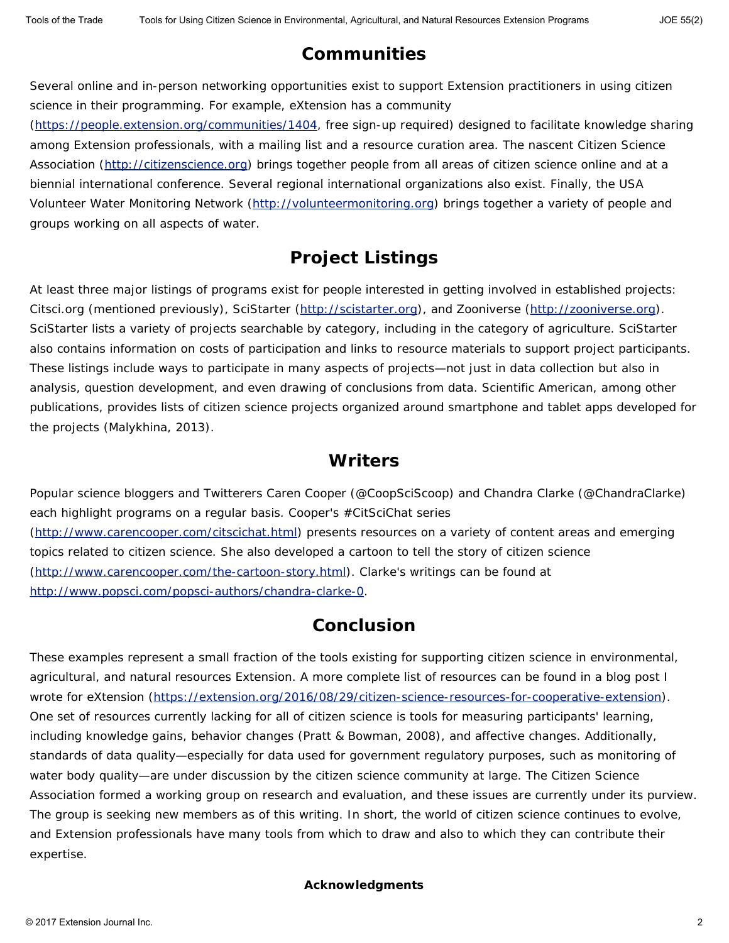## **Communities**

Several online and in-person networking opportunities exist to support Extension practitioners in using citizen science in their programming. For example, eXtension has a community

[\(https://people.extension.org/communities/1404](https://people.extension.org/communities/1404), free sign-up required) designed to facilitate knowledge sharing among Extension professionals, with a mailing list and a resource curation area. The nascent Citizen Science Association [\(http://citizenscience.org](http://citizenscience.org/)) brings together people from all areas of citizen science online and at a biennial international conference. Several regional international organizations also exist. Finally, the USA Volunteer Water Monitoring Network [\(http://volunteermonitoring.org](http://volunteermonitoring.org/)) brings together a variety of people and groups working on all aspects of water.

## **Project Listings**

At least three major listings of programs exist for people interested in getting involved in established projects: Citsci.org (mentioned previously), SciStarter [\(http://scistarter.org](http://scistarter.org/)), and Zooniverse [\(http://zooniverse.org](http://zooniverse.org/)). SciStarter lists a variety of projects searchable by category, including in the category of agriculture. SciStarter also contains information on costs of participation and links to resource materials to support project participants. These listings include ways to participate in many aspects of projects—not just in data collection but also in analysis, question development, and even drawing of conclusions from data. *Scientific American*, among other publications, provides lists of citizen science projects organized around smartphone and tablet apps developed for the projects (Malykhina, 2013).

#### **Writers**

Popular science bloggers and Twitterers Caren Cooper (@CoopSciScoop) and Chandra Clarke (@ChandraClarke) each highlight programs on a regular basis. Cooper's #CitSciChat series [\(http://www.carencooper.com/citscichat.html](http://www.carencooper.com/citscichat.html)) presents resources on a variety of content areas and emerging topics related to citizen science. She also developed a cartoon to tell the story of citizen science [\(http://www.carencooper.com/the-cartoon-story.html](http://www.carencooper.com/the-cartoon-story.html)). Clarke's writings can be found at [http://www.popsci.com/popsci-authors/chandra-clarke-0.](http://www.popsci.com/popsci-authors/chandra-clarke-0)

### **Conclusion**

These examples represent a small fraction of the tools existing for supporting citizen science in environmental, agricultural, and natural resources Extension. A more complete list of resources can be found in a blog post I wrote for eXtension [\(https://extension.org/2016/08/29/citizen-science-resources-for-cooperative-extension](https://extension.org/2016/08/29/citizen-science-resources-for-cooperative-extension)). One set of resources currently lacking for all of citizen science is tools for measuring participants' learning, including knowledge gains, behavior changes (Pratt & Bowman, 2008), and affective changes. Additionally, standards of data quality—especially for data used for government regulatory purposes, such as monitoring of water body quality—are under discussion by the citizen science community at large. The Citizen Science Association formed a working group on research and evaluation, and these issues are currently under its purview. The group is seeking new members as of this writing. In short, the world of citizen science continues to evolve, and Extension professionals have many tools from which to draw and also to which they can contribute their expertise.

#### **Acknowledgments**